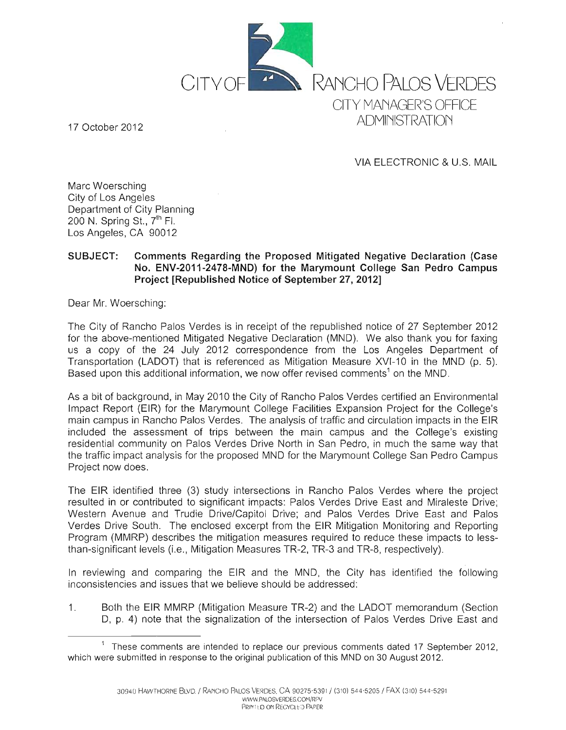

17 October 2012

VIA ELECTRONIC & U.S. MAIL

Marc Woersching City of Los Angeles Department of City Planning 200 N. Spring St., y'h FI. Los Angeles, CA 90012

## SUBJECT: Comments Regarding the Proposed Mitigated Negative Declaration (Case No. ENV-2011-2478-MND) for the Marymount College San Pedro Campus Project [Republished Notice of September 27,2012]

Dear Mr. Woersching:

The City of Rancho Palos Verdes is in receipt of the republished notice of 27 September 2012 for the above-mentioned Mitigated Negative Declaration (MND). We also thank you for faxing us a copy of the 24 July 2012 correspondence from the Los Angeles Department of Transportation (LADOT) that is referenced as Mitigation Measure XVI-10 in the MND (p. 5). Based upon this additional information, we now offer revised comments<sup>1</sup> on the MND.

As a bit of background, in May 2010 the City of Rancho Palos Verdes certified an Environmental Impact Report (EIR) for the Marymount College Facilities Expansion Project for the College's main campus in Rancho Palos Verdes. The analysis of traffic and circulation impacts in the EIR included the assessment of trips between the main campus and the College's existing residential community on Palos Verdes Drive North in San Pedro, in much the same way that the traffic impact analysis for the proposed MND for the Marymount College San Pedro Campus Project now does.

The EIR identified three (3) study intersections in Rancho Palos Verdes where the project resulted in or contributed to significant impacts: Palos Verdes Drive East and Miraleste Drive; Western Avenue and Trudie Drive/Capitol Drive; and Palos Verdes Drive East and Palos Verdes Drive South. The enclosed excerpt from the EIR Mitigation Monitoring and Reporting Program (MMRP) describes the mitigation measures required to reduce these impacts to lessthan-significant levels (i.e., Mitigation Measures TR-2, TR-3 and TR-8, respectively).

In reviewing and comparing the EIR and the MND, the City has identified the following inconsistencies and issues that we believe should be addressed:

1. Both the EIR MMRP (Mitigation Measure TR-2) and the LADOT memorandum (Section 0, p. 4) note that the signalization of the intersection of Palos Verdes Drive East and

<sup>&</sup>lt;sup>1</sup> These comments are intended to replace our previous comments dated 17 September 2012, which were submitted in response to the original publication of this MND on 30 August 2012.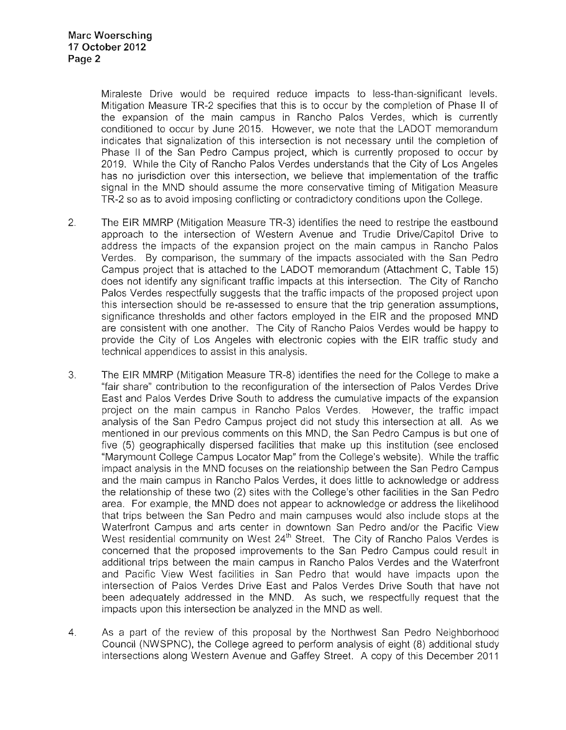Miraleste Drive would be required reduce impacts to less-than-significant levels. Mitigation Measure TR-2 specifies that this is to occur by the completion of Phase II of the expansion of the main campus in Rancho Palos Verdes, which is currently conditioned to occur by June 2015. However, we note that the LADOT memorandum indicates that signalization of this intersection is not necessary until the completion of Phase II of the San Pedro Campus project, which is currently proposed to occur by 2019. While the City of Rancho Palos Verdes understands that the City of Los Angeles has no jurisdiction over this intersection, we believe that implementation of the traffic signal in the MND should assume the more conservative timing of Mitigation Measure TR-2 so as to avoid imposing conflicting or contradictory conditions upon the College.

- 2. The EIR MMRP (Mitigation Measure TR-3) identifies the need to restripe the eastbound approach to the intersection of Western Avenue and Trudie Drive/Capitol Drive to address the impacts of the expansion project on the main campus in Rancho Palos Verdes. By comparison, the summary of the impacts associated with the San Pedro Campus project that is attached to the LADOT memorandum (Attachment C, Table 15) does not identify any significant traffic impacts at this intersection. The City of Rancho Palos Verdes respectfully suggests that the traffic impacts of the proposed project upon this intersection should be re-assessed to ensure that the trip generation assumptions, significance thresholds and other factors employed in the EIR and the proposed MND are consistent with one another. The City of Rancho Palos Verdes would be happy to provide the City of Los Angeles with electronic copies with the EIR traffic study and technical appendices to assist in this analysis.
- 3. The EIR MMRP (Mitigation Measure TR-8) identifies the need for the College to make a "fair share" contribution to the reconfiguration of the intersection of Palos Verdes Drive East and Palos Verdes Drive South to address the cumulative impacts of the expansion project on the main campus in Rancho Palos Verdes. However, the traffic impact analysis of the San Pedro Campus project did not study this intersection at all. As we mentioned in our previous comments on this MND, the San Pedro Campus is but one of five (5) geographically dispersed facilities that make up this institution (see enclosed "Marymount College Campus Locator Map" from the College's website). While the traffic impact analysis in the MND focuses on the relationship between the San Pedro Campus and the main campus in Rancho Palos Verdes, it does little to acknowledge or address the relationship of these two (2) sites with the College's other facilities in the San Pedro area. For example, the MND does not appear to acknowledge or address the likelihood that trips between the San Pedro and main campuses would also include stops at the Waterfront Campus and arts center in downtown San Pedro and/or the Pacific View West residential community on West 24<sup>th</sup> Street. The City of Rancho Palos Verdes is concerned that the proposed improvements to the San Pedro Campus could result in additional trips between the main campus in Rancho Palos Verdes and the Waterfront and Pacific View West facilities in San Pedro that would have impacts upon the intersection of Palos Verdes Drive East and Palos Verdes Drive South that have not been adequately addressed in the MND. As such, we respectfully request that the impacts upon this intersection be analyzed in the MND as well.
- 4. As a part of the review of this proposal by the Northwest San Pedro Neighborhood Council (NWSPNC), the College agreed to perform analysis of eight (8) additional study intersections along Western Avenue and Gaffey Street. A copy of this December 2011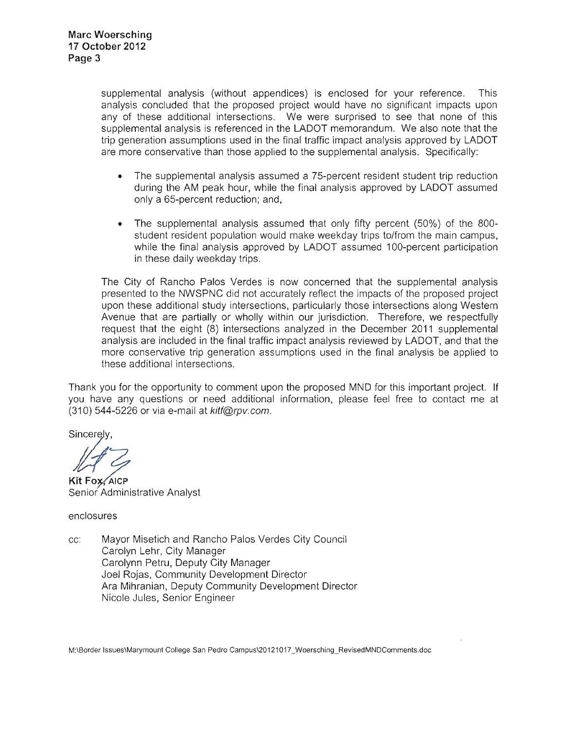supplemental analysis (without appendices) is enclosed for your reference. This analysis concluded that the proposed project would have no significant impacts upon any of these additional intersections. We were surprised to see that none of this supplemental analysis is referenced in the LADOT memorandum. We also note that the trip generation assumptions used in the final traffic impact analysis approved by LADOT are more conservative than those applied to the supplemental analysis. Specifically:

- The supplemental analysis assumed a 75-percent resident student trip reduction during the AM peak hour, while the final analysis approved by LADOT assumed only a 65-percent reduction; and,
- The supplemental analysis assumed that only fifty percent (50%) of the 800 student resident population would make weekday trips to/from the main campus, while the final analysis approved by LADOT assumed 100-percent participation in these daily weekday trips.

The City of Rancho Palos Verdes is now concerned that the supplemental analysis presented to the NWSPNC did not accurately reflect the impacts of the proposed project upon these additional study intersections, particularly those intersections along Western Avenue that are partially or wholly within our jurisdiction. Therefore, we respectfully request that the eight (8) intersections analyzed in the December 2011 supplemental analysis are included in the final traffic impact analysis reviewed by LADOT, and that the more conservative trip generation assumptions used in the final analysis be applied to these additional intersections.

Thank you for the opportunity to comment upon the proposed MND for this important project. If you have any questions or need additional information, please feel free to contact me at  $(310)$  544-5226 or via e-mail at kitf@rpv.com.

Sincerely,<br>
<del>/ / /</del><br>
Kit Fox, AICP

Senior Administrative Analyst

enclosures

cc: Mayor Misetich and Rancho Palos Verdes City Council Carolyn Lehr, City Manager Carolynn Petru, Deputy City Manager Joel Rojas, Community Development Director Ara Mihranian, Deputy Community Development Director Nicole Jules, Senior Engineer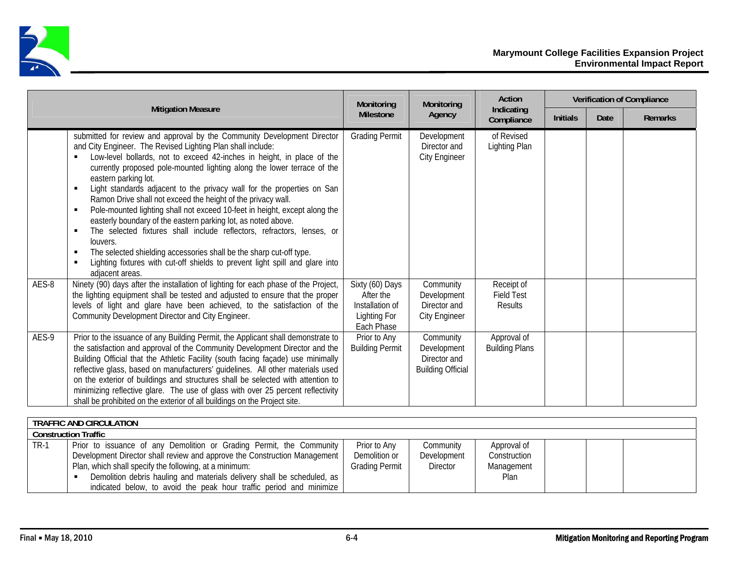

|       |                                                                                                                                                                                                                                                                                                                                                                                                                                                                                                                                                                                                                                                                                                                                                                                                                                                                                                                                                                             | Monitoring                                                                    | Monitoring                                                           | Action                                            |                 |      | <b>Verification of Compliance</b> |
|-------|-----------------------------------------------------------------------------------------------------------------------------------------------------------------------------------------------------------------------------------------------------------------------------------------------------------------------------------------------------------------------------------------------------------------------------------------------------------------------------------------------------------------------------------------------------------------------------------------------------------------------------------------------------------------------------------------------------------------------------------------------------------------------------------------------------------------------------------------------------------------------------------------------------------------------------------------------------------------------------|-------------------------------------------------------------------------------|----------------------------------------------------------------------|---------------------------------------------------|-----------------|------|-----------------------------------|
|       | <b>Mitigation Measure</b>                                                                                                                                                                                                                                                                                                                                                                                                                                                                                                                                                                                                                                                                                                                                                                                                                                                                                                                                                   | <b>Milestone</b>                                                              | Agency                                                               | Indicating<br>Compliance                          | <b>Initials</b> | Date | <b>Remarks</b>                    |
|       | submitted for review and approval by the Community Development Director<br>and City Engineer. The Revised Lighting Plan shall include:<br>Low-level bollards, not to exceed 42-inches in height, in place of the<br>$\blacksquare$<br>currently proposed pole-mounted lighting along the lower terrace of the<br>eastern parking lot.<br>Light standards adjacent to the privacy wall for the properties on San<br>$\blacksquare$<br>Ramon Drive shall not exceed the height of the privacy wall.<br>Pole-mounted lighting shall not exceed 10-feet in height, except along the<br>$\blacksquare$<br>easterly boundary of the eastern parking lot, as noted above.<br>The selected fixtures shall include reflectors, refractors, lenses, or<br>$\blacksquare$<br>louvers.<br>The selected shielding accessories shall be the sharp cut-off type.<br>п<br>Lighting fixtures with cut-off shields to prevent light spill and glare into<br>$\blacksquare$<br>adjacent areas. | <b>Grading Permit</b>                                                         | Development<br>Director and<br><b>City Engineer</b>                  | of Revised<br>Lighting Plan                       |                 |      |                                   |
| AES-8 | Ninety (90) days after the installation of lighting for each phase of the Project,<br>the lighting equipment shall be tested and adjusted to ensure that the proper<br>levels of light and glare have been achieved, to the satisfaction of the<br>Community Development Director and City Engineer.                                                                                                                                                                                                                                                                                                                                                                                                                                                                                                                                                                                                                                                                        | Sixty (60) Days<br>After the<br>Installation of<br>Lighting For<br>Each Phase | Community<br>Development<br>Director and<br><b>City Engineer</b>     | Receipt of<br><b>Field Test</b><br><b>Results</b> |                 |      |                                   |
| AES-9 | Prior to the issuance of any Building Permit, the Applicant shall demonstrate to<br>the satisfaction and approval of the Community Development Director and the<br>Building Official that the Athletic Facility (south facing façade) use minimally<br>reflective glass, based on manufacturers' guidelines. All other materials used<br>on the exterior of buildings and structures shall be selected with attention to<br>minimizing reflective glare. The use of glass with over 25 percent reflectivity<br>shall be prohibited on the exterior of all buildings on the Project site.                                                                                                                                                                                                                                                                                                                                                                                    | Prior to Any<br><b>Building Permit</b>                                        | Community<br>Development<br>Director and<br><b>Building Official</b> | Approval of<br><b>Building Plans</b>              |                 |      |                                   |

|                             | TRAFFIC AND CIRCULATION                                                   |                |                 |              |  |  |  |  |
|-----------------------------|---------------------------------------------------------------------------|----------------|-----------------|--------------|--|--|--|--|
| <b>Construction Traffic</b> |                                                                           |                |                 |              |  |  |  |  |
| <b>TR-1</b>                 | Prior to issuance of any Demolition or Grading Permit, the Community      | Prior to Any   | Community       | Approval of  |  |  |  |  |
|                             | Development Director shall review and approve the Construction Management | Demolition or  | Development     | Construction |  |  |  |  |
|                             | Plan, which shall specify the following, at a minimum:                    | Grading Permit | <b>Director</b> | Management   |  |  |  |  |
|                             | Demolition debris hauling and materials delivery shall be scheduled, as   |                |                 | <b>Plan</b>  |  |  |  |  |
|                             | indicated below, to avoid the peak hour traffic period and minimize       |                |                 |              |  |  |  |  |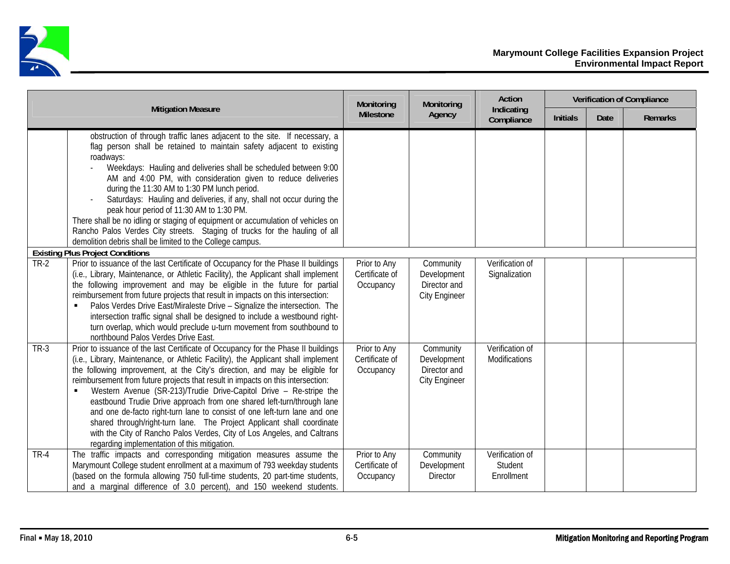

|        |                                                                                                                                                                                                                                                                                                                                                                                                                                                                                                                                                                                                                                                                                                                                                                                              | Monitoring                                  | Monitoring                                                       | Action                                   |                 |      | <b>Verification of Compliance</b> |
|--------|----------------------------------------------------------------------------------------------------------------------------------------------------------------------------------------------------------------------------------------------------------------------------------------------------------------------------------------------------------------------------------------------------------------------------------------------------------------------------------------------------------------------------------------------------------------------------------------------------------------------------------------------------------------------------------------------------------------------------------------------------------------------------------------------|---------------------------------------------|------------------------------------------------------------------|------------------------------------------|-----------------|------|-----------------------------------|
|        | <b>Mitigation Measure</b>                                                                                                                                                                                                                                                                                                                                                                                                                                                                                                                                                                                                                                                                                                                                                                    | <b>Milestone</b>                            | Agency                                                           | Indicating<br>Compliance                 | <b>Initials</b> | Date | <b>Remarks</b>                    |
|        | obstruction of through traffic lanes adjacent to the site. If necessary, a<br>flag person shall be retained to maintain safety adjacent to existing<br>roadways:<br>Weekdays: Hauling and deliveries shall be scheduled between 9:00<br>AM and 4:00 PM, with consideration given to reduce deliveries<br>during the 11:30 AM to 1:30 PM lunch period.<br>Saturdays: Hauling and deliveries, if any, shall not occur during the<br>peak hour period of 11:30 AM to 1:30 PM.<br>There shall be no idling or staging of equipment or accumulation of vehicles on<br>Rancho Palos Verdes City streets. Staging of trucks for the hauling of all<br>demolition debris shall be limited to the College campus.                                                                                     |                                             |                                                                  |                                          |                 |      |                                   |
|        | <b>Existing Plus Project Conditions</b>                                                                                                                                                                                                                                                                                                                                                                                                                                                                                                                                                                                                                                                                                                                                                      |                                             |                                                                  |                                          |                 |      |                                   |
| $TR-2$ | Prior to issuance of the last Certificate of Occupancy for the Phase II buildings<br>(i.e., Library, Maintenance, or Athletic Facility), the Applicant shall implement<br>the following improvement and may be eligible in the future for partial<br>reimbursement from future projects that result in impacts on this intersection:<br>Palos Verdes Drive East/Miraleste Drive - Signalize the intersection. The<br>٠<br>intersection traffic signal shall be designed to include a westbound right-<br>turn overlap, which would preclude u-turn movement from southbound to<br>northbound Palos Verdes Drive East.                                                                                                                                                                        | Prior to Any<br>Certificate of<br>Occupancy | Community<br>Development<br>Director and<br><b>City Engineer</b> | Verification of<br>Signalization         |                 |      |                                   |
| $TR-3$ | Prior to issuance of the last Certificate of Occupancy for the Phase II buildings<br>(i.e., Library, Maintenance, or Athletic Facility), the Applicant shall implement<br>the following improvement, at the City's direction, and may be eligible for<br>reimbursement from future projects that result in impacts on this intersection:<br>Western Avenue (SR-213)/Trudie Drive-Capitol Drive - Re-stripe the<br>$\blacksquare$<br>eastbound Trudie Drive approach from one shared left-turn/through lane<br>and one de-facto right-turn lane to consist of one left-turn lane and one<br>shared through/right-turn lane. The Project Applicant shall coordinate<br>with the City of Rancho Palos Verdes, City of Los Angeles, and Caltrans<br>regarding implementation of this mitigation. | Prior to Any<br>Certificate of<br>Occupancy | Community<br>Development<br>Director and<br><b>City Engineer</b> | Verification of<br>Modifications         |                 |      |                                   |
| $TR-4$ | The traffic impacts and corresponding mitigation measures assume the<br>Marymount College student enrollment at a maximum of 793 weekday students<br>(based on the formula allowing 750 full-time students, 20 part-time students,<br>and a marginal difference of 3.0 percent), and 150 weekend students.                                                                                                                                                                                                                                                                                                                                                                                                                                                                                   | Prior to Any<br>Certificate of<br>Occupancy | Community<br>Development<br><b>Director</b>                      | Verification of<br>Student<br>Enrollment |                 |      |                                   |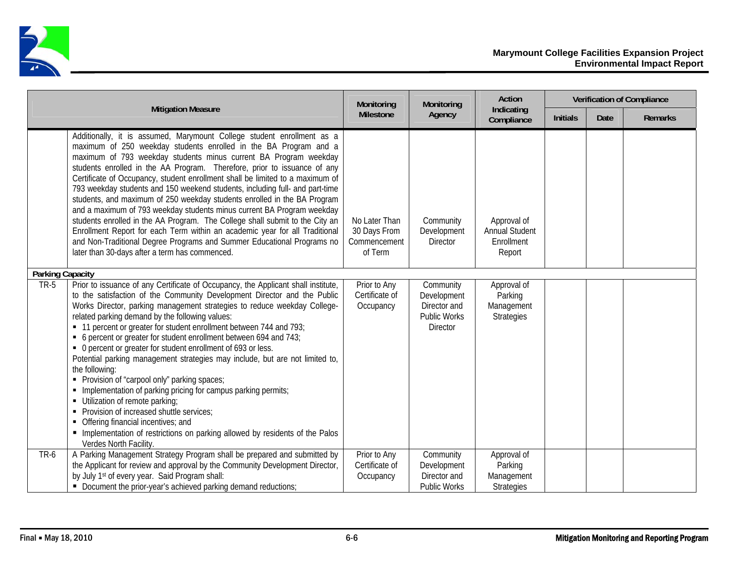

|                         |                                                                                                                                                                                                                                                                                                                                                                                                                                                                                                                                                                                                                                                                                                                                                                                                                                                                                                                                                                     | Monitoring                                               | Monitoring                                                                  | Action                                                       |                 |      | <b>Verification of Compliance</b> |
|-------------------------|---------------------------------------------------------------------------------------------------------------------------------------------------------------------------------------------------------------------------------------------------------------------------------------------------------------------------------------------------------------------------------------------------------------------------------------------------------------------------------------------------------------------------------------------------------------------------------------------------------------------------------------------------------------------------------------------------------------------------------------------------------------------------------------------------------------------------------------------------------------------------------------------------------------------------------------------------------------------|----------------------------------------------------------|-----------------------------------------------------------------------------|--------------------------------------------------------------|-----------------|------|-----------------------------------|
|                         | <b>Mitigation Measure</b>                                                                                                                                                                                                                                                                                                                                                                                                                                                                                                                                                                                                                                                                                                                                                                                                                                                                                                                                           | <b>Milestone</b>                                         | Agency                                                                      | Indicating<br>Compliance                                     | <b>Initials</b> | Date | <b>Remarks</b>                    |
|                         | Additionally, it is assumed, Marymount College student enrollment as a<br>maximum of 250 weekday students enrolled in the BA Program and a<br>maximum of 793 weekday students minus current BA Program weekday<br>students enrolled in the AA Program. Therefore, prior to issuance of any<br>Certificate of Occupancy, student enrollment shall be limited to a maximum of<br>793 weekday students and 150 weekend students, including full- and part-time<br>students, and maximum of 250 weekday students enrolled in the BA Program<br>and a maximum of 793 weekday students minus current BA Program weekday<br>students enrolled in the AA Program. The College shall submit to the City an<br>Enrollment Report for each Term within an academic year for all Traditional<br>and Non-Traditional Degree Programs and Summer Educational Programs no<br>later than 30-days after a term has commenced.                                                        | No Later Than<br>30 Days From<br>Commencement<br>of Term | Community<br>Development<br><b>Director</b>                                 | Approval of<br><b>Annual Student</b><br>Enrollment<br>Report |                 |      |                                   |
| <b>Parking Capacity</b> |                                                                                                                                                                                                                                                                                                                                                                                                                                                                                                                                                                                                                                                                                                                                                                                                                                                                                                                                                                     |                                                          |                                                                             |                                                              |                 |      |                                   |
| <b>TR-5</b>             | Prior to issuance of any Certificate of Occupancy, the Applicant shall institute,<br>to the satisfaction of the Community Development Director and the Public<br>Works Director, parking management strategies to reduce weekday College-<br>related parking demand by the following values:<br>• 11 percent or greater for student enrollment between 744 and 793;<br>• 6 percent or greater for student enrollment between 694 and 743;<br>• 0 percent or greater for student enrollment of 693 or less.<br>Potential parking management strategies may include, but are not limited to,<br>the following:<br>• Provision of "carpool only" parking spaces;<br>• Implementation of parking pricing for campus parking permits;<br>• Utilization of remote parking;<br>• Provision of increased shuttle services;<br>• Offering financial incentives; and<br>Implementation of restrictions on parking allowed by residents of the Palos<br>Verdes North Facility. | Prior to Any<br>Certificate of<br>Occupancy              | Community<br>Development<br>Director and<br><b>Public Works</b><br>Director | Approval of<br>Parking<br>Management<br><b>Strategies</b>    |                 |      |                                   |
| TR-6                    | A Parking Management Strategy Program shall be prepared and submitted by<br>the Applicant for review and approval by the Community Development Director,<br>by July 1 <sup>st</sup> of every year. Said Program shall:<br>• Document the prior-year's achieved parking demand reductions;                                                                                                                                                                                                                                                                                                                                                                                                                                                                                                                                                                                                                                                                           | Prior to Any<br>Certificate of<br>Occupancy              | Community<br>Development<br>Director and<br><b>Public Works</b>             | Approval of<br>Parking<br>Management<br><b>Strategies</b>    |                 |      |                                   |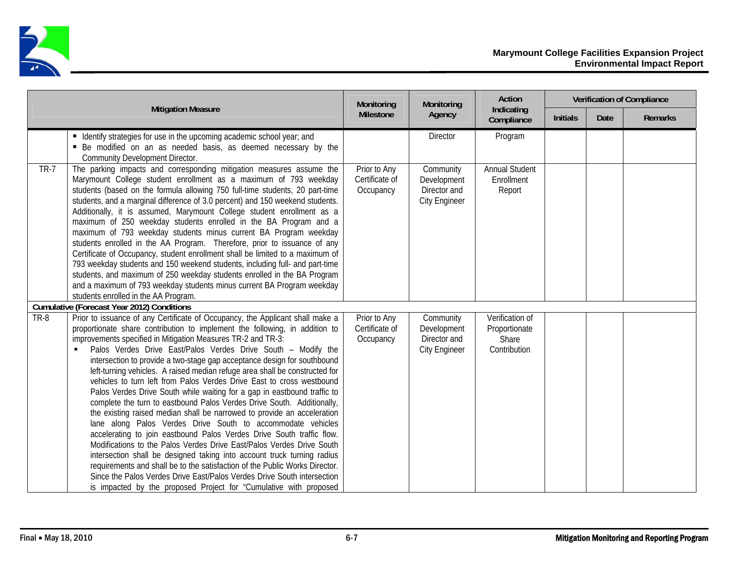

|             |                                                                                                                                                                                                                                                                                                                                                                                                                                                                                                                                                                                                                                                                                                                                                                                                                                                                                                                                                                                                                                                                                                                                                                                                                                                                                                    | Monitoring                                  | Monitoring                                                       | Action                                                    |                 |      | <b>Verification of Compliance</b> |
|-------------|----------------------------------------------------------------------------------------------------------------------------------------------------------------------------------------------------------------------------------------------------------------------------------------------------------------------------------------------------------------------------------------------------------------------------------------------------------------------------------------------------------------------------------------------------------------------------------------------------------------------------------------------------------------------------------------------------------------------------------------------------------------------------------------------------------------------------------------------------------------------------------------------------------------------------------------------------------------------------------------------------------------------------------------------------------------------------------------------------------------------------------------------------------------------------------------------------------------------------------------------------------------------------------------------------|---------------------------------------------|------------------------------------------------------------------|-----------------------------------------------------------|-----------------|------|-----------------------------------|
|             | <b>Mitigation Measure</b>                                                                                                                                                                                                                                                                                                                                                                                                                                                                                                                                                                                                                                                                                                                                                                                                                                                                                                                                                                                                                                                                                                                                                                                                                                                                          | <b>Milestone</b>                            | Agency                                                           | Indicating<br>Compliance                                  | <b>Initials</b> | Date | Remarks                           |
|             | • Identify strategies for use in the upcoming academic school year; and<br>• Be modified on an as needed basis, as deemed necessary by the<br>Community Development Director.                                                                                                                                                                                                                                                                                                                                                                                                                                                                                                                                                                                                                                                                                                                                                                                                                                                                                                                                                                                                                                                                                                                      |                                             | <b>Director</b>                                                  | Program                                                   |                 |      |                                   |
| <b>TR-7</b> | The parking impacts and corresponding mitigation measures assume the<br>Marymount College student enrollment as a maximum of 793 weekday<br>students (based on the formula allowing 750 full-time students, 20 part-time<br>students, and a marginal difference of 3.0 percent) and 150 weekend students.<br>Additionally, it is assumed, Marymount College student enrollment as a<br>maximum of 250 weekday students enrolled in the BA Program and a<br>maximum of 793 weekday students minus current BA Program weekday<br>students enrolled in the AA Program. Therefore, prior to issuance of any<br>Certificate of Occupancy, student enrollment shall be limited to a maximum of<br>793 weekday students and 150 weekend students, including full- and part-time<br>students, and maximum of 250 weekday students enrolled in the BA Program<br>and a maximum of 793 weekday students minus current BA Program weekday<br>students enrolled in the AA Program.                                                                                                                                                                                                                                                                                                                             | Prior to Any<br>Certificate of<br>Occupancy | Community<br>Development<br>Director and<br><b>City Engineer</b> | <b>Annual Student</b><br>Enrollment<br>Report             |                 |      |                                   |
|             | <b>Cumulative (Forecast Year 2012) Conditions</b>                                                                                                                                                                                                                                                                                                                                                                                                                                                                                                                                                                                                                                                                                                                                                                                                                                                                                                                                                                                                                                                                                                                                                                                                                                                  |                                             |                                                                  |                                                           |                 |      |                                   |
| TR-8        | Prior to issuance of any Certificate of Occupancy, the Applicant shall make a<br>proportionate share contribution to implement the following, in addition to<br>improvements specified in Mitigation Measures TR-2 and TR-3:<br>Palos Verdes Drive East/Palos Verdes Drive South - Modify the<br>٠<br>intersection to provide a two-stage gap acceptance design for southbound<br>left-turning vehicles. A raised median refuge area shall be constructed for<br>vehicles to turn left from Palos Verdes Drive East to cross westbound<br>Palos Verdes Drive South while waiting for a gap in eastbound traffic to<br>complete the turn to eastbound Palos Verdes Drive South. Additionally,<br>the existing raised median shall be narrowed to provide an acceleration<br>lane along Palos Verdes Drive South to accommodate vehicles<br>accelerating to join eastbound Palos Verdes Drive South traffic flow.<br>Modifications to the Palos Verdes Drive East/Palos Verdes Drive South<br>intersection shall be designed taking into account truck turning radius<br>requirements and shall be to the satisfaction of the Public Works Director.<br>Since the Palos Verdes Drive East/Palos Verdes Drive South intersection<br>is impacted by the proposed Project for "Cumulative with proposed | Prior to Any<br>Certificate of<br>Occupancy | Community<br>Development<br>Director and<br><b>City Engineer</b> | Verification of<br>Proportionate<br>Share<br>Contribution |                 |      |                                   |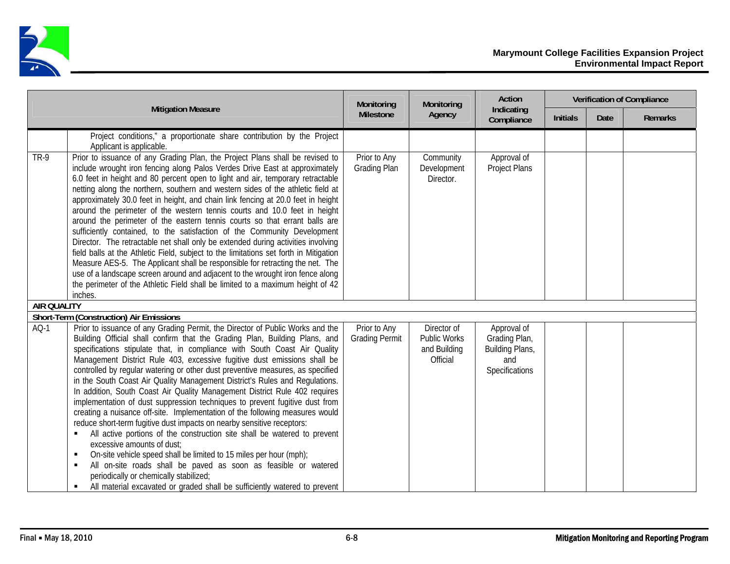

|                    |                                                                                                                                                                                                                                                                                                                                                                                                                                                                                                                                                                                                                                                                                                                                                                                                                                                                                                                                                                                                                                                                                                                                                                                                                         | Monitoring                            | Monitoring                                                     | Action                                                                   |                 |      | <b>Verification of Compliance</b> |
|--------------------|-------------------------------------------------------------------------------------------------------------------------------------------------------------------------------------------------------------------------------------------------------------------------------------------------------------------------------------------------------------------------------------------------------------------------------------------------------------------------------------------------------------------------------------------------------------------------------------------------------------------------------------------------------------------------------------------------------------------------------------------------------------------------------------------------------------------------------------------------------------------------------------------------------------------------------------------------------------------------------------------------------------------------------------------------------------------------------------------------------------------------------------------------------------------------------------------------------------------------|---------------------------------------|----------------------------------------------------------------|--------------------------------------------------------------------------|-----------------|------|-----------------------------------|
|                    | <b>Mitigation Measure</b>                                                                                                                                                                                                                                                                                                                                                                                                                                                                                                                                                                                                                                                                                                                                                                                                                                                                                                                                                                                                                                                                                                                                                                                               | Milestone                             | Agency                                                         | Indicating<br>Compliance                                                 | <b>Initials</b> | Date | <b>Remarks</b>                    |
|                    | Project conditions," a proportionate share contribution by the Project<br>Applicant is applicable.                                                                                                                                                                                                                                                                                                                                                                                                                                                                                                                                                                                                                                                                                                                                                                                                                                                                                                                                                                                                                                                                                                                      |                                       |                                                                |                                                                          |                 |      |                                   |
| <b>TR-9</b>        | Prior to issuance of any Grading Plan, the Project Plans shall be revised to<br>include wrought iron fencing along Palos Verdes Drive East at approximately<br>6.0 feet in height and 80 percent open to light and air, temporary retractable<br>netting along the northern, southern and western sides of the athletic field at<br>approximately 30.0 feet in height, and chain link fencing at 20.0 feet in height<br>around the perimeter of the western tennis courts and 10.0 feet in height<br>around the perimeter of the eastern tennis courts so that errant balls are<br>sufficiently contained, to the satisfaction of the Community Development<br>Director. The retractable net shall only be extended during activities involving<br>field balls at the Athletic Field, subject to the limitations set forth in Mitigation<br>Measure AES-5. The Applicant shall be responsible for retracting the net. The<br>use of a landscape screen around and adjacent to the wrought iron fence along<br>the perimeter of the Athletic Field shall be limited to a maximum height of 42<br>inches.                                                                                                                 | Prior to Any<br>Grading Plan          | Community<br>Development<br>Director.                          | Approval of<br>Project Plans                                             |                 |      |                                   |
| <b>AIR QUALITY</b> |                                                                                                                                                                                                                                                                                                                                                                                                                                                                                                                                                                                                                                                                                                                                                                                                                                                                                                                                                                                                                                                                                                                                                                                                                         |                                       |                                                                |                                                                          |                 |      |                                   |
|                    | Short-Term (Construction) Air Emissions                                                                                                                                                                                                                                                                                                                                                                                                                                                                                                                                                                                                                                                                                                                                                                                                                                                                                                                                                                                                                                                                                                                                                                                 |                                       |                                                                |                                                                          |                 |      |                                   |
| $AO-1$             | Prior to issuance of any Grading Permit, the Director of Public Works and the<br>Building Official shall confirm that the Grading Plan, Building Plans, and<br>specifications stipulate that, in compliance with South Coast Air Quality<br>Management District Rule 403, excessive fugitive dust emissions shall be<br>controlled by regular watering or other dust preventive measures, as specified<br>in the South Coast Air Quality Management District's Rules and Regulations.<br>In addition, South Coast Air Quality Management District Rule 402 requires<br>implementation of dust suppression techniques to prevent fugitive dust from<br>creating a nuisance off-site. Implementation of the following measures would<br>reduce short-term fugitive dust impacts on nearby sensitive receptors:<br>All active portions of the construction site shall be watered to prevent<br>٠<br>excessive amounts of dust;<br>On-site vehicle speed shall be limited to 15 miles per hour (mph);<br>п<br>All on-site roads shall be paved as soon as feasible or watered<br>$\blacksquare$<br>periodically or chemically stabilized;<br>All material excavated or graded shall be sufficiently watered to prevent<br>٠ | Prior to Any<br><b>Grading Permit</b> | Director of<br><b>Public Works</b><br>and Building<br>Official | Approval of<br>Grading Plan,<br>Building Plans,<br>and<br>Specifications |                 |      |                                   |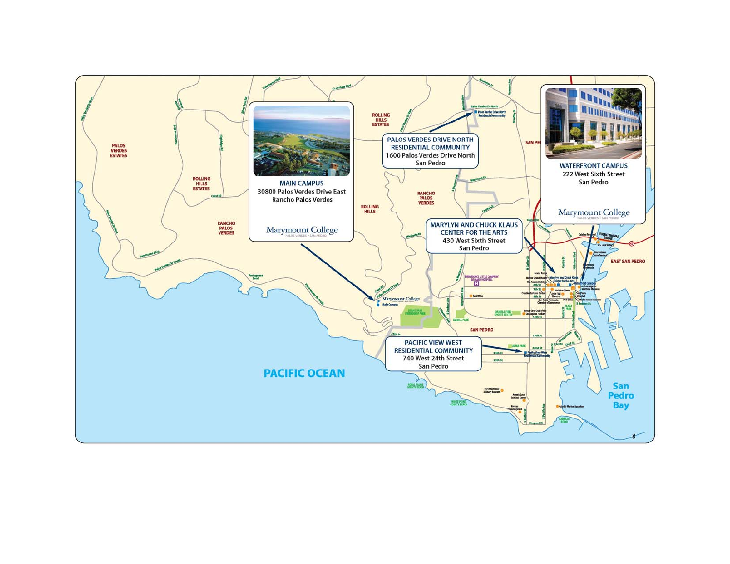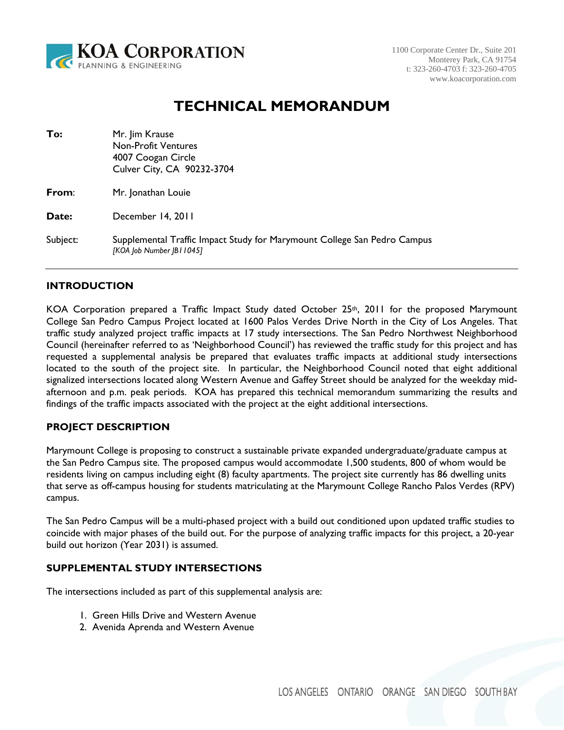

# **TECHNICAL MEMORANDUM**

| To:      | Mr. Jim Krause<br><b>Non-Profit Ventures</b><br>4007 Coogan Circle<br>Culver City, CA 90232-3704      |
|----------|-------------------------------------------------------------------------------------------------------|
| From:    | Mr. Jonathan Louie                                                                                    |
| Date:    | December 14, 2011                                                                                     |
| Subject: | Supplemental Traffic Impact Study for Marymount College San Pedro Campus<br>[KOA Job Number JBI 1045] |

### **INTRODUCTION**

KOA Corporation prepared a Traffic Impact Study dated October 25<sup>th</sup>, 2011 for the proposed Marymount College San Pedro Campus Project located at 1600 Palos Verdes Drive North in the City of Los Angeles. That traffic study analyzed project traffic impacts at 17 study intersections. The San Pedro Northwest Neighborhood Council (hereinafter referred to as 'Neighborhood Council') has reviewed the traffic study for this project and has requested a supplemental analysis be prepared that evaluates traffic impacts at additional study intersections located to the south of the project site. In particular, the Neighborhood Council noted that eight additional signalized intersections located along Western Avenue and Gaffey Street should be analyzed for the weekday midafternoon and p.m. peak periods. KOA has prepared this technical memorandum summarizing the results and findings of the traffic impacts associated with the project at the eight additional intersections.

### **PROJECT DESCRIPTION**

Marymount College is proposing to construct a sustainable private expanded undergraduate/graduate campus at the San Pedro Campus site. The proposed campus would accommodate 1,500 students, 800 of whom would be residents living on campus including eight (8) faculty apartments. The project site currently has 86 dwelling units that serve as off-campus housing for students matriculating at the Marymount College Rancho Palos Verdes (RPV) campus.

The San Pedro Campus will be a multi-phased project with a build out conditioned upon updated traffic studies to coincide with major phases of the build out. For the purpose of analyzing traffic impacts for this project, a 20-year build out horizon (Year 2031) is assumed.

### **SUPPLEMENTAL STUDY INTERSECTIONS**

The intersections included as part of this supplemental analysis are:

- 1. Green Hills Drive and Western Avenue
- 2. Avenida Aprenda and Western Avenue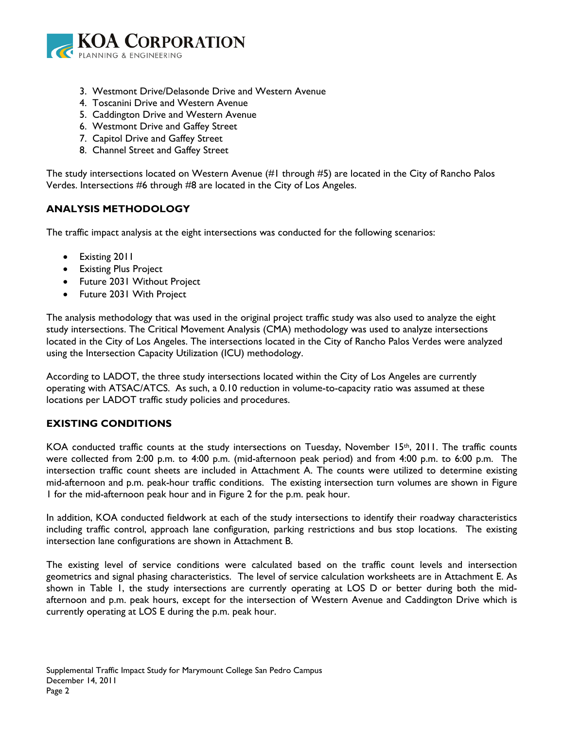

- 3. Westmont Drive/Delasonde Drive and Western Avenue
- 4. Toscanini Drive and Western Avenue
- 5. Caddington Drive and Western Avenue
- 6. Westmont Drive and Gaffey Street
- 7. Capitol Drive and Gaffey Street
- 8. Channel Street and Gaffey Street

The study intersections located on Western Avenue (#1 through #5) are located in the City of Rancho Palos Verdes. Intersections #6 through #8 are located in the City of Los Angeles.

# **ANALYSIS METHODOLOGY**

The traffic impact analysis at the eight intersections was conducted for the following scenarios:

- Existing 2011
- Existing Plus Project
- Future 2031 Without Project
- Future 2031 With Project

The analysis methodology that was used in the original project traffic study was also used to analyze the eight study intersections. The Critical Movement Analysis (CMA) methodology was used to analyze intersections located in the City of Los Angeles. The intersections located in the City of Rancho Palos Verdes were analyzed using the Intersection Capacity Utilization (ICU) methodology.

According to LADOT, the three study intersections located within the City of Los Angeles are currently operating with ATSAC/ATCS. As such, a 0.10 reduction in volume-to-capacity ratio was assumed at these locations per LADOT traffic study policies and procedures.

# **EXISTING CONDITIONS**

KOA conducted traffic counts at the study intersections on Tuesday, November 15th, 2011. The traffic counts were collected from 2:00 p.m. to 4:00 p.m. (mid-afternoon peak period) and from 4:00 p.m. to 6:00 p.m. The intersection traffic count sheets are included in Attachment A. The counts were utilized to determine existing mid-afternoon and p.m. peak-hour traffic conditions. The existing intersection turn volumes are shown in Figure 1 for the mid-afternoon peak hour and in Figure 2 for the p.m. peak hour.

In addition, KOA conducted fieldwork at each of the study intersections to identify their roadway characteristics including traffic control, approach lane configuration, parking restrictions and bus stop locations. The existing intersection lane configurations are shown in Attachment B.

The existing level of service conditions were calculated based on the traffic count levels and intersection geometrics and signal phasing characteristics. The level of service calculation worksheets are in Attachment E. As shown in Table 1, the study intersections are currently operating at LOS D or better during both the midafternoon and p.m. peak hours, except for the intersection of Western Avenue and Caddington Drive which is currently operating at LOS E during the p.m. peak hour.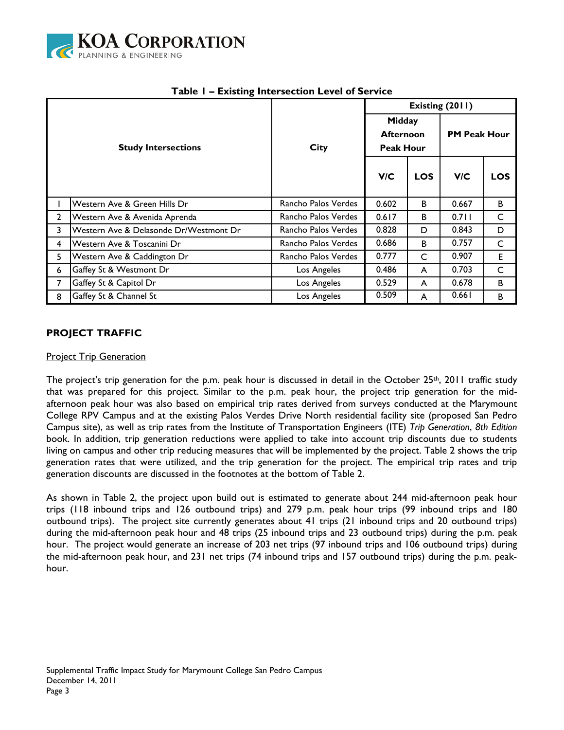

|                |                                        |                     | Existing (2011)                                |            |                     |            |  |  |
|----------------|----------------------------------------|---------------------|------------------------------------------------|------------|---------------------|------------|--|--|
|                | <b>Study Intersections</b>             | <b>City</b>         | Midday<br><b>Afternoon</b><br><b>Peak Hour</b> |            | <b>PM Peak Hour</b> |            |  |  |
|                |                                        |                     | V/C                                            | <b>LOS</b> | V/C                 | <b>LOS</b> |  |  |
|                | Western Ave & Green Hills Dr           | Rancho Palos Verdes | 0.602                                          | в          | 0.667               | B          |  |  |
| $\overline{2}$ | Western Ave & Avenida Aprenda          | Rancho Palos Verdes | 0.617                                          | В          | 0.711               | C          |  |  |
| 3              | Western Ave & Delasonde Dr/Westmont Dr | Rancho Palos Verdes | 0.828                                          | D          | 0.843               | D          |  |  |
| 4              | Western Ave & Toscanini Dr             | Rancho Palos Verdes | 0.686                                          | B          | 0.757               | C          |  |  |
| 5.             | Western Ave & Caddington Dr            | Rancho Palos Verdes | 0.777                                          | C          | 0.907               | E          |  |  |
| 6              | Gaffey St & Westmont Dr                | Los Angeles         | 0.486                                          | A          | 0.703               | C          |  |  |
| 7              | Gaffey St & Capitol Dr                 | Los Angeles         | 0.529                                          | A          | 0.678               | B          |  |  |
| 8              | Gaffey St & Channel St                 | Los Angeles         | 0.509                                          | A          | 0.661               | B          |  |  |

## **Table 1 – Existing Intersection Level of Service**

### **PROJECT TRAFFIC**

### **Project Trip Generation**

The project's trip generation for the p.m. peak hour is discussed in detail in the October 25<sup>th</sup>, 2011 traffic study that was prepared for this project. Similar to the p.m. peak hour, the project trip generation for the midafternoon peak hour was also based on empirical trip rates derived from surveys conducted at the Marymount College RPV Campus and at the existing Palos Verdes Drive North residential facility site (proposed San Pedro Campus site), as well as trip rates from the Institute of Transportation Engineers (ITE) *Trip Generation*, *8th Edition* book. In addition, trip generation reductions were applied to take into account trip discounts due to students living on campus and other trip reducing measures that will be implemented by the project. Table 2 shows the trip generation rates that were utilized, and the trip generation for the project. The empirical trip rates and trip generation discounts are discussed in the footnotes at the bottom of Table 2.

As shown in Table 2, the project upon build out is estimated to generate about 244 mid-afternoon peak hour trips (118 inbound trips and 126 outbound trips) and 279 p.m. peak hour trips (99 inbound trips and 180 outbound trips). The project site currently generates about 41 trips (21 inbound trips and 20 outbound trips) during the mid-afternoon peak hour and 48 trips (25 inbound trips and 23 outbound trips) during the p.m. peak hour. The project would generate an increase of 203 net trips (97 inbound trips and 106 outbound trips) during the mid-afternoon peak hour, and 231 net trips (74 inbound trips and 157 outbound trips) during the p.m. peakhour.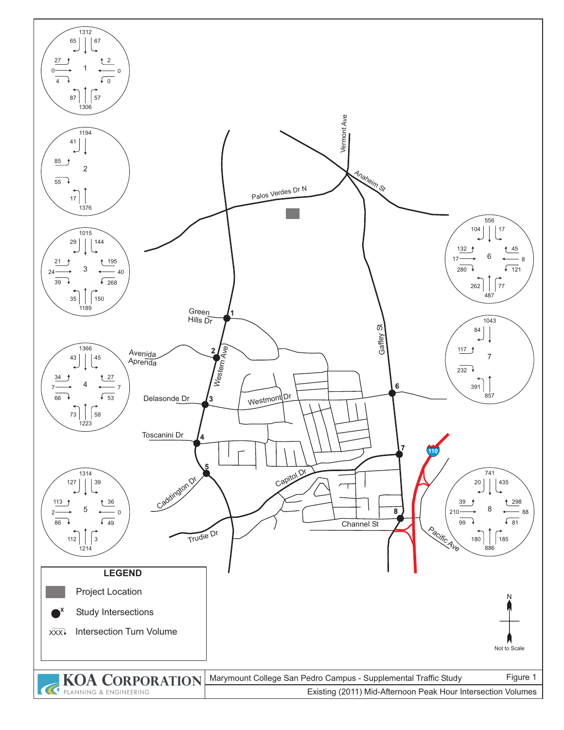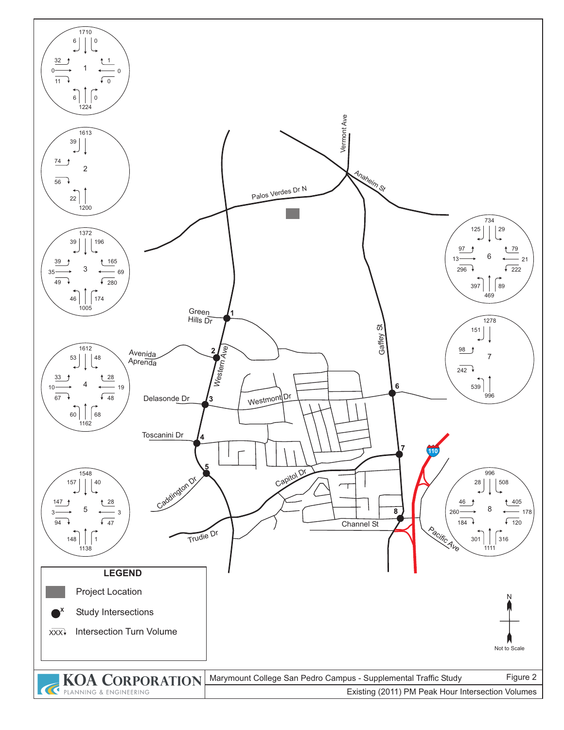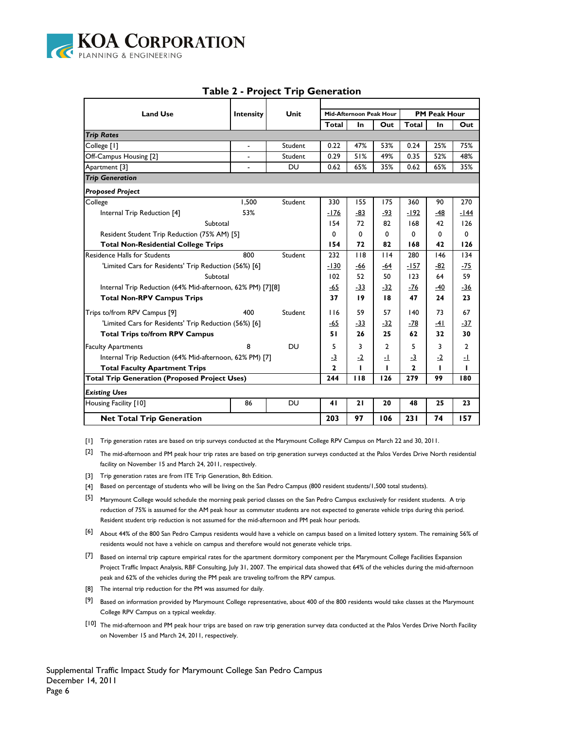

| <b>Land Use</b>                                            | <b>Intensity</b> | Unit      |                | Mid-Afternoon Peak Hour |                |              | <b>PM Peak Hour</b> |            |
|------------------------------------------------------------|------------------|-----------|----------------|-------------------------|----------------|--------------|---------------------|------------|
|                                                            |                  |           | Total          | In                      | Out            | Total        | In                  | Out        |
| <b>Trip Rates</b>                                          |                  |           |                |                         |                |              |                     |            |
| College [1]                                                | ä,               | Student   | 0.22           | 47%                     | 53%            | 0.24         | 25%                 | 75%        |
| Off-Campus Housing [2]                                     |                  | Student   | 0.29           | 51%                     | 49%            | 0.35         | 52%                 | 48%        |
| Apartment [3]                                              | ä,               | <b>DU</b> | 0.62           | 65%                     | 35%            | 0.62         | 65%                 | 35%        |
| <b>Trip Generation</b>                                     |                  |           |                |                         |                |              |                     |            |
| <b>Proposed Project</b>                                    |                  |           |                |                         |                |              |                     |            |
| College                                                    | 1.500            | Student   | 330            | 155                     | 175            | 360          | 90                  | 270        |
| Internal Trip Reduction [4]                                | 53%              |           | -176           | -83                     | -93            | $-192$       | $-48$               | -144       |
| Subtotal                                                   |                  |           | 154            | 72                      | 82             | 168          | 42                  | 126        |
| Resident Student Trip Reduction (75% AM) [5]               |                  |           | 0              | $\Omega$                | 0              | 0            | 0                   | 0          |
| <b>Total Non-Residential College Trips</b>                 | 154              | 72        | 82             | 168                     | 42             | 126          |                     |            |
| <b>Residence Halls for Students</b>                        | 800              | Student   | 232            | 118                     | 114            | 280          | 146                 | 134        |
| 'Limited Cars for Residents' Trip Reduction (56%) [6]      | -130             | -66       | -64            | -157                    | -82            | -75          |                     |            |
| Subtotal                                                   | 102              | 52        | 50             | 123                     | 64             | 59           |                     |            |
| Internal Trip Reduction (64% Mid-afternoon, 62% PM) [7][8] |                  |           | $-65$          | -33                     | -32            | -76          | -40                 | $-36$      |
| <b>Total Non-RPV Campus Trips</b>                          |                  |           | 37             | 19                      | 18             | 47           | 24                  | 23         |
| Trips to/from RPV Campus [9]                               | 400              | Student   | 116            | 59                      | 57             | 140          | 73                  | 67         |
| 'Limited Cars for Residents' Trip Reduction (56%) [6]      |                  |           | -65            | $-33$                   | -32            | -78          | -41                 | -37        |
| <b>Total Trips to/from RPV Campus</b>                      |                  |           | 51             | 26                      | 25             | 62           | 32                  | 30         |
| <b>Faculty Apartments</b>                                  | 8                | DU        | 5              | 3                       | $\overline{2}$ | 5            | 3                   | 2          |
| Internal Trip Reduction (64% Mid-afternoon, 62% PM) [7]    |                  |           | $-3$           | $-2$                    | -1             | $-3$         | $-2$                | <u>- 1</u> |
| <b>Total Faculty Apartment Trips</b>                       |                  |           | $\overline{2}$ | ı                       |                | $\mathbf{z}$ |                     | т          |
| <b>Total Trip Generation (Proposed Project Uses)</b>       |                  |           |                | 118                     | 126            | 279          | 99                  | 180        |
| <b>Existing Uses</b>                                       |                  |           |                |                         |                |              |                     |            |
| Housing Facility [10]                                      | 86               | DU        | 41             | 21                      | 20             | 48           | 25                  | 23         |
| <b>Net Total Trip Generation</b>                           |                  |           | 203            | 97                      | 106            | 231          | 74                  | 157        |

### **Table 2 - Project Trip Generation**

[1] Trip generation rates are based on trip surveys conducted at the Marymount College RPV Campus on March 22 and 30, 2011.

 $[2]$  The mid-afternoon and PM peak hour trip rates are based on trip generation surveys conducted at the Palos Verdes Drive North residential facility on November 15 and March 24, 2011, respectively.

- [3] Trip generation rates are from ITE Trip Generation, 8th Edition.
- [4] Based on percentage of students who will be living on the San Pedro Campus (800 resident students/1,500 total students).
- [5] Marymount College would schedule the morning peak period classes on the San Pedro Campus exclusively for resident students. A trip reduction of 75% is assumed for the AM peak hour as commuter students are not expected to generate vehicle trips during this period. Resident student trip reduction is not assumed for the mid-afternoon and PM peak hour periods.
- [6] About 44% of the 800 San Pedro Campus residents would have a vehicle on campus based on a limited lottery system. The remaining 56% of residents would not have a vehicle on campus and therefore would not generate vehicle trips.
- [7] Based on internal trip capture empirical rates for the apartment dormitory component per the Marymount College Facilities Expansion Project Traffic Impact Analysis, RBF Consulting, July 31, 2007. The empirical data showed that 64% of the vehicles during the mid-afternoon peak and 62% of the vehicles during the PM peak are traveling to/from the RPV campus.
- [8] The internal trip reduction for the PM was assumed for daily.
- [9] Based on information provided by Marymount College representative, about 400 of the 800 residents would take classes at the Marymount College RPV Campus on a typical weekday.
- [10] The mid-afternoon and PM peak hour trips are based on raw trip generation survey data conducted at the Palos Verdes Drive North Facility on November 15 and March 24, 2011, respectively.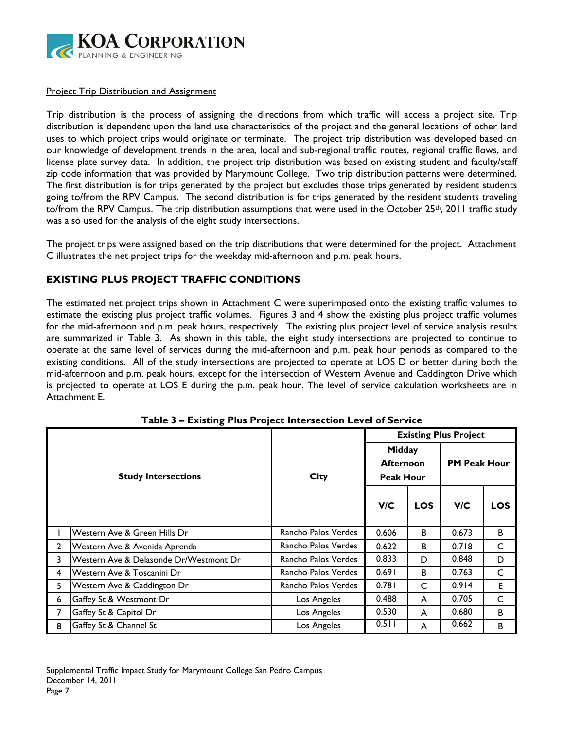

### **Project Trip Distribution and Assignment**

Trip distribution is the process of assigning the directions from which traffic will access a project site. Trip distribution is dependent upon the land use characteristics of the project and the general locations of other land uses to which project trips would originate or terminate. The project trip distribution was developed based on our knowledge of development trends in the area, local and sub-regional traffic routes, regional traffic flows, and license plate survey data. In addition, the project trip distribution was based on existing student and faculty/staff zip code information that was provided by Marymount College. Two trip distribution patterns were determined. The first distribution is for trips generated by the project but excludes those trips generated by resident students going to/from the RPV Campus. The second distribution is for trips generated by the resident students traveling to/from the RPV Campus. The trip distribution assumptions that were used in the October 25<sup>th</sup>, 2011 traffic study was also used for the analysis of the eight study intersections.

The project trips were assigned based on the trip distributions that were determined for the project. Attachment C illustrates the net project trips for the weekday mid-afternoon and p.m. peak hours.

### **EXISTING PLUS PROJECT TRAFFIC CONDITIONS**

The estimated net project trips shown in Attachment C were superimposed onto the existing traffic volumes to estimate the existing plus project traffic volumes. Figures 3 and 4 show the existing plus project traffic volumes for the mid-afternoon and p.m. peak hours, respectively. The existing plus project level of service analysis results are summarized in Table 3. As shown in this table, the eight study intersections are projected to continue to operate at the same level of services during the mid-afternoon and p.m. peak hour periods as compared to the existing conditions. All of the study intersections are projected to operate at LOS D or better during both the mid-afternoon and p.m. peak hours, except for the intersection of Western Avenue and Caddington Drive which is projected to operate at LOS E during the p.m. peak hour. The level of service calculation worksheets are in Attachment E.

|              |                                        |                     | <b>Existing Plus Project</b>                   |            |                     |            |  |  |
|--------------|----------------------------------------|---------------------|------------------------------------------------|------------|---------------------|------------|--|--|
|              | <b>Study Intersections</b>             | <b>City</b>         | Midday<br><b>Afternoon</b><br><b>Peak Hour</b> |            | <b>PM Peak Hour</b> |            |  |  |
|              |                                        |                     | V/C                                            | <b>LOS</b> | V/C                 | <b>LOS</b> |  |  |
|              | Western Ave & Green Hills Dr           | Rancho Palos Verdes | 0.606                                          | B          | 0.673               | В          |  |  |
| $\mathbf{2}$ | Western Ave & Avenida Aprenda          | Rancho Palos Verdes | 0.622                                          | B          | 0.718               | C          |  |  |
| 3            | Western Ave & Delasonde Dr/Westmont Dr | Rancho Palos Verdes | 0.833                                          | D          | 0.848               | D          |  |  |
| 4            | Western Ave & Toscanini Dr             | Rancho Palos Verdes | 0.691                                          | B          | 0.763               | C          |  |  |
| 5.           | Western Ave & Caddington Dr            | Rancho Palos Verdes | 0.781                                          | C          | 0.914               | E          |  |  |
| 6            | Gaffey St & Westmont Dr                | Los Angeles         | 0.488                                          | A          | 0.705               | C          |  |  |
| 7            | Gaffey St & Capitol Dr                 | Los Angeles         | 0.530                                          | A          | 0.680               | В          |  |  |
| 8            | Gaffey St & Channel St                 | Los Angeles         | 0.511                                          | A          | 0.662               | в          |  |  |

**Table 3 – Existing Plus Project Intersection Level of Service**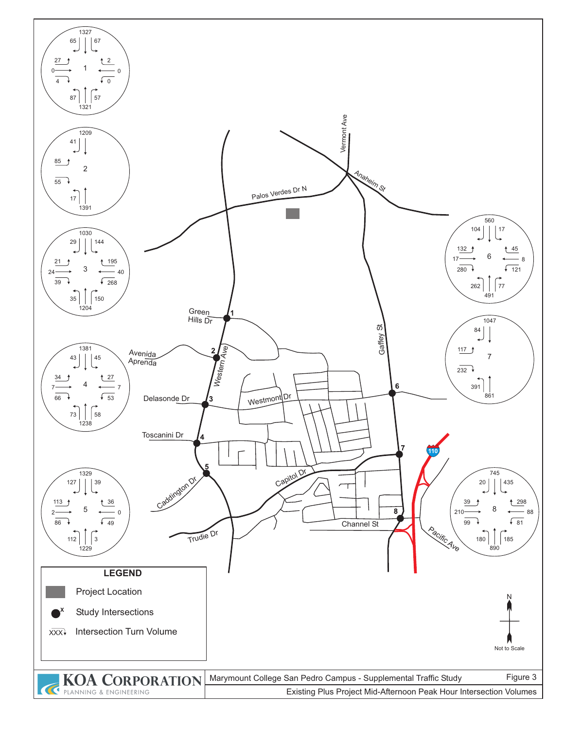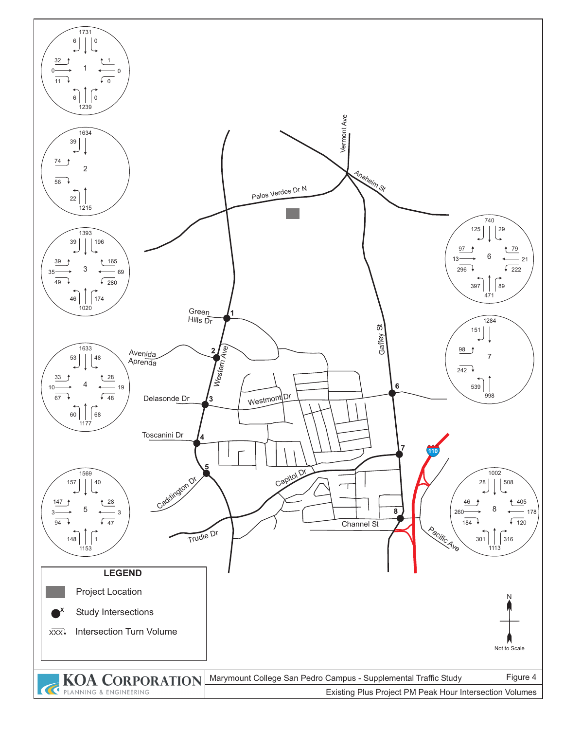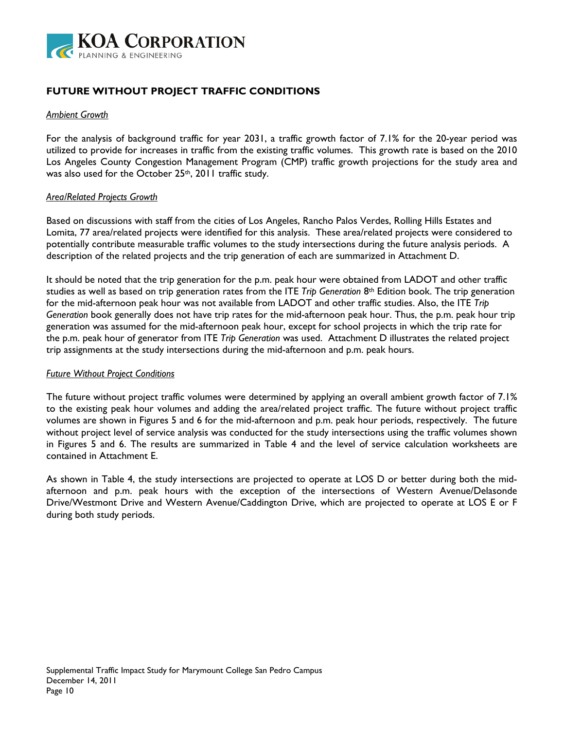

# **FUTURE WITHOUT PROJECT TRAFFIC CONDITIONS**

#### *Ambient Growth*

For the analysis of background traffic for year 2031, a traffic growth factor of 7.1% for the 20-year period was utilized to provide for increases in traffic from the existing traffic volumes. This growth rate is based on the 2010 Los Angeles County Congestion Management Program (CMP) traffic growth projections for the study area and was also used for the October 25<sup>th</sup>, 2011 traffic study.

### *Area/Related Projects Growth*

Based on discussions with staff from the cities of Los Angeles, Rancho Palos Verdes, Rolling Hills Estates and Lomita, 77 area/related projects were identified for this analysis. These area/related projects were considered to potentially contribute measurable traffic volumes to the study intersections during the future analysis periods. A description of the related projects and the trip generation of each are summarized in Attachment D.

It should be noted that the trip generation for the p.m. peak hour were obtained from LADOT and other traffic studies as well as based on trip generation rates from the ITE *Trip Generation* 8th Edition book. The trip generation for the mid-afternoon peak hour was not available from LADOT and other traffic studies. Also, the ITE *Trip Generation* book generally does not have trip rates for the mid-afternoon peak hour. Thus, the p.m. peak hour trip generation was assumed for the mid-afternoon peak hour, except for school projects in which the trip rate for the p.m. peak hour of generator from ITE *Trip Generation* was used. Attachment D illustrates the related project trip assignments at the study intersections during the mid-afternoon and p.m. peak hours.

#### *Future Without Project Conditions*

The future without project traffic volumes were determined by applying an overall ambient growth factor of 7.1% to the existing peak hour volumes and adding the area/related project traffic. The future without project traffic volumes are shown in Figures 5 and 6 for the mid-afternoon and p.m. peak hour periods, respectively. The future without project level of service analysis was conducted for the study intersections using the traffic volumes shown in Figures 5 and 6. The results are summarized in Table 4 and the level of service calculation worksheets are contained in Attachment E.

As shown in Table 4, the study intersections are projected to operate at LOS D or better during both the midafternoon and p.m. peak hours with the exception of the intersections of Western Avenue/Delasonde Drive/Westmont Drive and Western Avenue/Caddington Drive, which are projected to operate at LOS E or F during both study periods.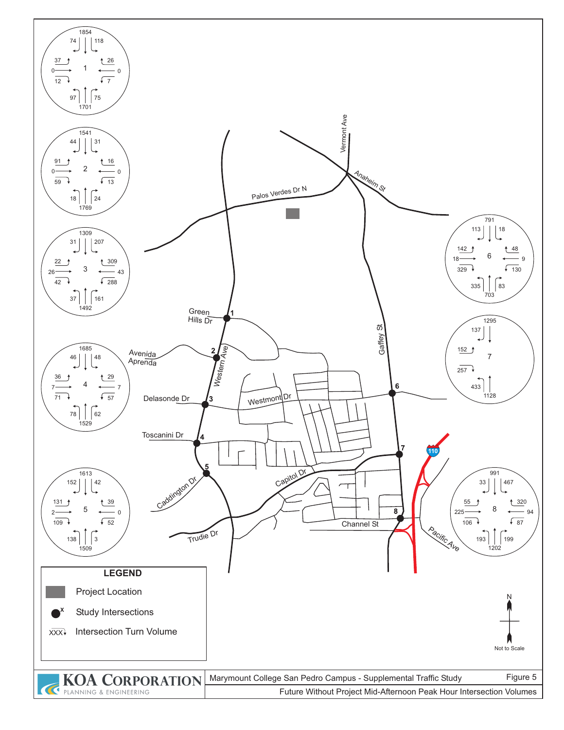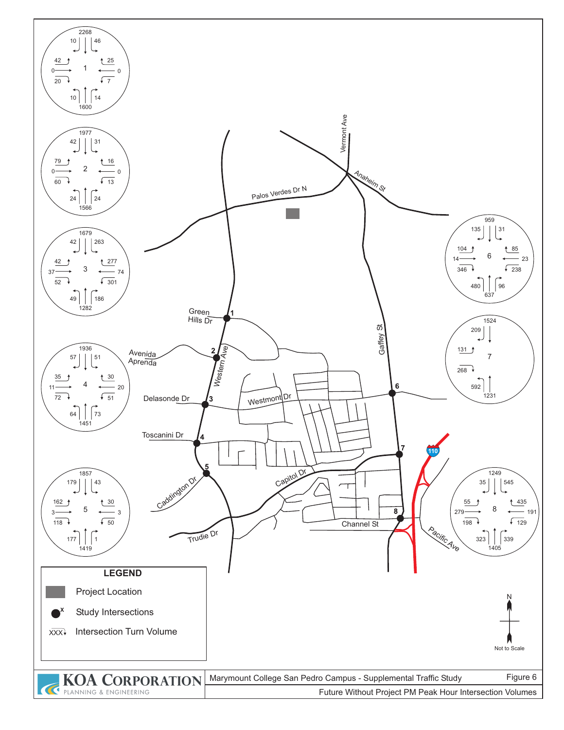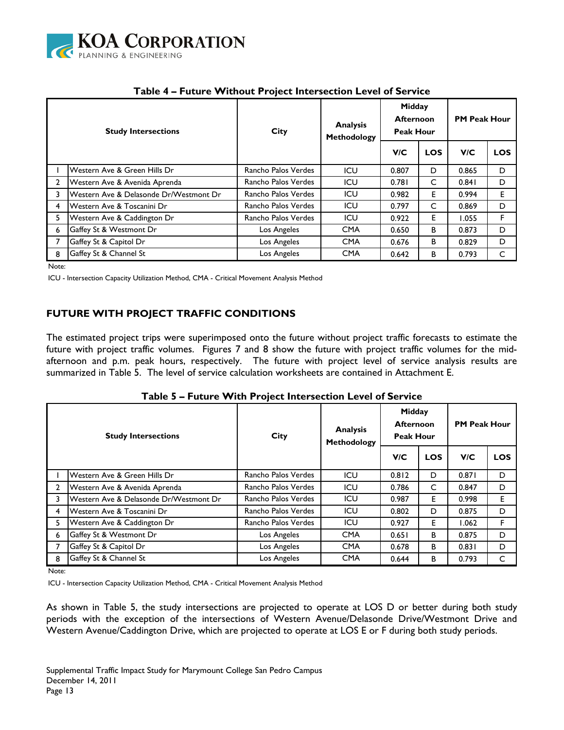

| <b>Study Intersections</b> |                                        | City                | <b>Analysis</b><br>Methodology | Midday<br><b>Afternoon</b><br><b>Peak Hour</b> |            | <b>PM Peak Hour</b> |            |  |
|----------------------------|----------------------------------------|---------------------|--------------------------------|------------------------------------------------|------------|---------------------|------------|--|
|                            |                                        |                     |                                | V/C                                            | <b>LOS</b> | V/C                 | <b>LOS</b> |  |
|                            | Western Ave & Green Hills Dr           | Rancho Palos Verdes | ICU                            | 0.807                                          | D          | 0.865               | D          |  |
| 2                          | Western Ave & Avenida Aprenda          | Rancho Palos Verdes | ICU                            | 0.781                                          | C          | 0.841               | D          |  |
| 3                          | Western Ave & Delasonde Dr/Westmont Dr | Rancho Palos Verdes | ICU                            | 0.982                                          | E          | 0.994               | E          |  |
| 4                          | Western Ave & Toscanini Dr             | Rancho Palos Verdes | ICU                            | 0.797                                          | C          | 0.869               | D          |  |
| 5                          | Western Ave & Caddington Dr            | Rancho Palos Verdes | ICU                            | 0.922                                          | E.         | 1.055               | F.         |  |
| 6                          | Gaffey St & Westmont Dr                | Los Angeles         | <b>CMA</b>                     | 0.650                                          | B          | 0.873               | D          |  |
|                            | Gaffey St & Capitol Dr                 | Los Angeles         | <b>CMA</b>                     | 0.676                                          | B          | 0.829               | D          |  |
| 8                          | Gaffey St & Channel St                 | Los Angeles         | <b>CMA</b>                     | 0.642                                          | B          | 0.793               | C          |  |

# **Table 4 – Future Without Project Intersection Level of Service**

Note:

ICU - Intersection Capacity Utilization Method, CMA - Critical Movement Analysis Method

# **FUTURE WITH PROJECT TRAFFIC CONDITIONS**

The estimated project trips were superimposed onto the future without project traffic forecasts to estimate the future with project traffic volumes. Figures 7 and 8 show the future with project traffic volumes for the midafternoon and p.m. peak hours, respectively. The future with project level of service analysis results are summarized in Table 5. The level of service calculation worksheets are contained in Attachment E.

| Table 5 - Future With Project Intersection Level of Service |  |  |  |  |  |  |  |
|-------------------------------------------------------------|--|--|--|--|--|--|--|
|-------------------------------------------------------------|--|--|--|--|--|--|--|

| <b>Study Intersections</b> |                                        | <b>City</b>         | <b>Analysis</b><br>Methodology | Midday<br><b>Afternoon</b><br><b>Peak Hour</b> |            | <b>PM Peak Hour</b> |            |  |
|----------------------------|----------------------------------------|---------------------|--------------------------------|------------------------------------------------|------------|---------------------|------------|--|
|                            |                                        |                     |                                | <b>V/C</b>                                     | <b>LOS</b> | V/C                 | <b>LOS</b> |  |
|                            | Western Ave & Green Hills Dr           | Rancho Palos Verdes | ICU                            | 0.812                                          | D          | 0.871               | D          |  |
| $\mathbf{2}$               | Western Ave & Avenida Aprenda          | Rancho Palos Verdes | ICU                            | 0.786                                          | C          | 0.847               | D          |  |
| 3                          | Western Ave & Delasonde Dr/Westmont Dr | Rancho Palos Verdes | ICU                            | 0.987                                          | Е          | 0.998               | E          |  |
| 4                          | Western Ave & Toscanini Dr             | Rancho Palos Verdes | ICU                            | 0.802                                          | D          | 0.875               | D          |  |
| 5.                         | Western Ave & Caddington Dr            | Rancho Palos Verdes | ICU                            | 0.927                                          | Е          | 1.062               | F          |  |
| 6                          | Gaffey St & Westmont Dr                | Los Angeles         | <b>CMA</b>                     | 0.651                                          | В          | 0.875               | D          |  |
|                            | Gaffey St & Capitol Dr                 | Los Angeles         | <b>CMA</b>                     | 0.678                                          | В          | 0.831               | D          |  |
| 8                          | Gaffey St & Channel St                 | Los Angeles         | <b>CMA</b>                     | 0.644                                          | В          | 0.793               | C          |  |

Note:

ICU - Intersection Capacity Utilization Method, CMA - Critical Movement Analysis Method

As shown in Table 5, the study intersections are projected to operate at LOS D or better during both study periods with the exception of the intersections of Western Avenue/Delasonde Drive/Westmont Drive and Western Avenue/Caddington Drive, which are projected to operate at LOS E or F during both study periods.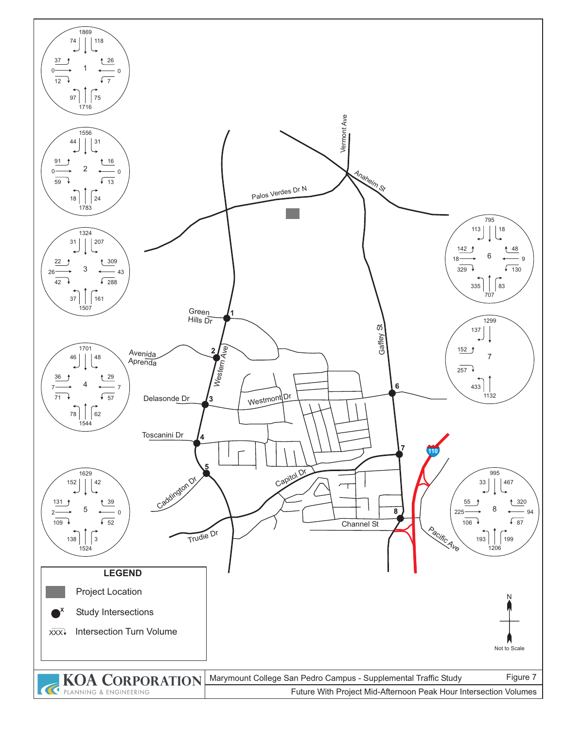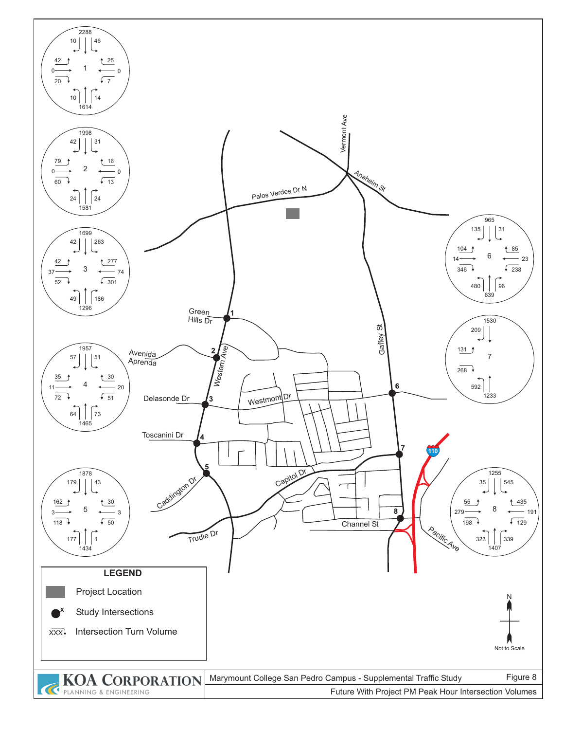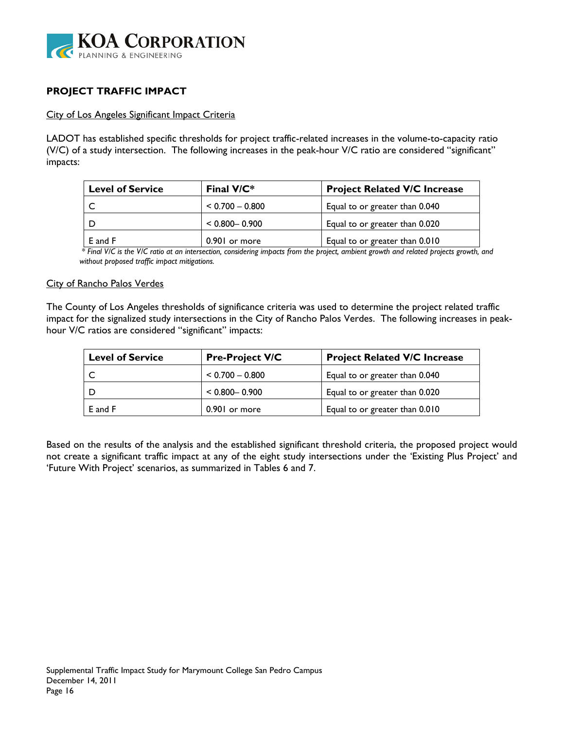

# **PROJECT TRAFFIC IMPACT**

### City of Los Angeles Significant Impact Criteria

LADOT has established specific thresholds for project traffic-related increases in the volume-to-capacity ratio (V/C) of a study intersection. The following increases in the peak-hour V/C ratio are considered "significant" impacts:

| <b>Level of Service</b> | Final $V/C^*$     | <b>Project Related V/C Increase</b> |  |  |  |  |  |  |
|-------------------------|-------------------|-------------------------------------|--|--|--|--|--|--|
|                         | $< 0.700 - 0.800$ | Equal to or greater than 0.040      |  |  |  |  |  |  |
|                         | $< 0.800 - 0.900$ | Equal to or greater than 0.020      |  |  |  |  |  |  |
| E and F                 | 0.901 or more     | Equal to or greater than 0.010      |  |  |  |  |  |  |

 *\* Final V/C is the V/C ratio at an intersection, considering impacts from the project, ambient growth and related projects growth, and without proposed traffic impact mitigations.* 

### City of Rancho Palos Verdes

The County of Los Angeles thresholds of significance criteria was used to determine the project related traffic impact for the signalized study intersections in the City of Rancho Palos Verdes. The following increases in peakhour V/C ratios are considered "significant" impacts:

| <b>Level of Service</b> | <b>Pre-Project V/C</b> | <b>Project Related V/C Increase</b> |  |  |  |  |  |  |
|-------------------------|------------------------|-------------------------------------|--|--|--|--|--|--|
|                         | $< 0.700 - 0.800$      | Equal to or greater than 0.040      |  |  |  |  |  |  |
|                         | $< 0.800 - 0.900$      | Equal to or greater than 0.020      |  |  |  |  |  |  |
| E and F                 | 0.901 or more          | Equal to or greater than 0.010      |  |  |  |  |  |  |

Based on the results of the analysis and the established significant threshold criteria, the proposed project would not create a significant traffic impact at any of the eight study intersections under the 'Existing Plus Project' and 'Future With Project' scenarios, as summarized in Tables 6 and 7.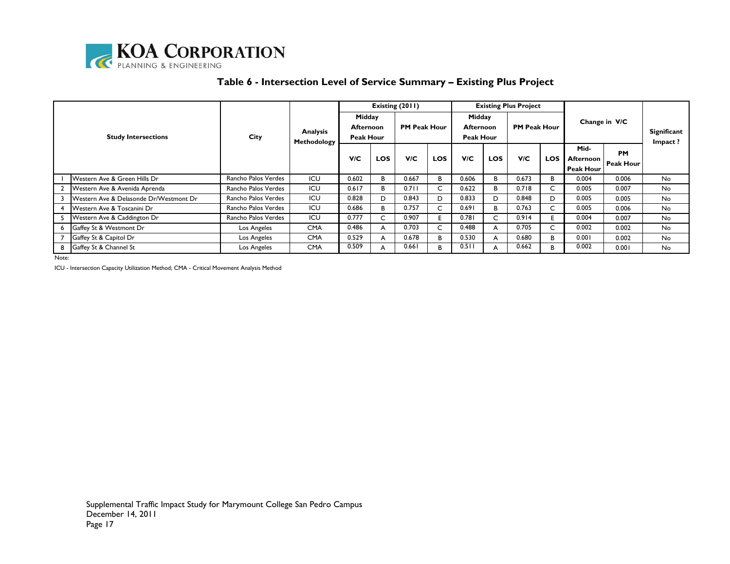

### **Table 6 - Intersection Level of Service Summary – Existing Plus Project**

|                            |                                        |                     |                                |                                                |            | Existing (2011)     |            |                                         |            | <b>Existing Plus Project</b> |            |                                              |                               |                               |
|----------------------------|----------------------------------------|---------------------|--------------------------------|------------------------------------------------|------------|---------------------|------------|-----------------------------------------|------------|------------------------------|------------|----------------------------------------------|-------------------------------|-------------------------------|
| <b>Study Intersections</b> |                                        | City                | <b>Analysis</b><br>Methodology | Midday<br><b>Afternoon</b><br><b>Peak Hour</b> |            | <b>PM Peak Hour</b> |            | Midday<br>Afternoon<br><b>Peak Hour</b> |            | <b>PM Peak Hour</b>          |            | Change in V/C                                |                               | <b>Significant</b><br>Impact? |
|                            |                                        |                     |                                | V/C                                            | <b>LOS</b> | V/C                 | <b>LOS</b> | V/C                                     | <b>LOS</b> | V/C                          | <b>LOS</b> | Mid-<br><b>Afternoon</b><br><b>Peak Hour</b> | <b>PM</b><br><b>Peak Hour</b> |                               |
|                            | Western Ave & Green Hills Dr           | Rancho Palos Verdes | ICU                            | 0.602                                          | в          | 0.667               | B          | 0.606                                   | в          | 0.673                        | B          | 0.004                                        | 0.006                         | No.                           |
|                            | Western Ave & Avenida Aprenda          | Rancho Palos Verdes | ICU                            | 0.617                                          | В          | 0.71                | C          | 0.622                                   | В          | 0.718                        |            | 0.005                                        | 0.007                         | No.                           |
|                            | Western Ave & Delasonde Dr/Westmont Dr | Rancho Palos Verdes | ICU                            | 0.828                                          | D          | 0.843               | D          | 0.833                                   | D          | 0.848                        | D          | 0.005                                        | 0.005                         | No.                           |
|                            | Western Ave & Toscanini Dr             | Rancho Palos Verdes | ICU                            | 0.686                                          | В          | 0.757               | C          | 0.691                                   | B          | 0.763                        |            | 0.005                                        | 0.006                         | No.                           |
|                            | Western Ave & Caddington Dr            | Rancho Palos Verdes | ICU                            | 0.777                                          |            | 0.907               | E.         | 0.781                                   | C          | 0.914                        |            | 0.004                                        | 0.007                         | No.                           |
|                            | Gaffey St & Westmont Dr                | Los Angeles         | <b>CMA</b>                     | 0.486                                          | A          | 0.703               | C          | 0.488                                   | A          | 0.705                        |            | 0.002                                        | 0.002                         | No.                           |
|                            | Gaffey St & Capitol Dr                 | Los Angeles         | <b>CMA</b>                     | 0.529                                          | A          | 0.678               | B          | 0.530                                   | A          | 0.680                        | B.         | 0.001                                        | 0.002                         | No.                           |
|                            | 8 Gaffey St & Channel St               | Los Angeles         | <b>CMA</b>                     | 0.509                                          | A          | 0.661               | B.         | 0.511                                   | A          | 0.662                        | B.         | 0.002                                        | 0.001                         | No.                           |

Note:

ICU - Intersection Capacity Utilization Method; CMA - Critical Movement Analysis Method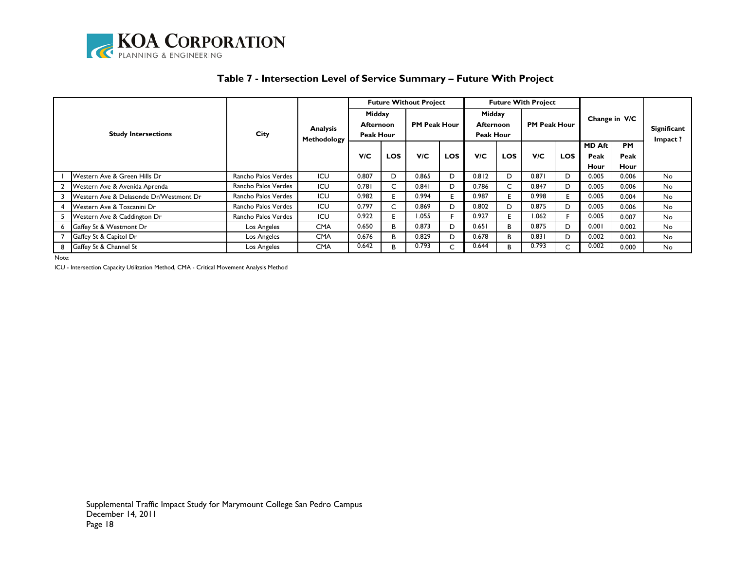

| <b>Study Intersections</b> |                                                     |                     | <b>Analysis</b><br>Methodology |                                                | <b>Future Without Project</b> |                     |            |                                  | <b>Future With Project</b> |                     |            |               |              |                               |
|----------------------------|-----------------------------------------------------|---------------------|--------------------------------|------------------------------------------------|-------------------------------|---------------------|------------|----------------------------------|----------------------------|---------------------|------------|---------------|--------------|-------------------------------|
|                            |                                                     | City                |                                | Midday<br><b>Afternoon</b><br><b>Peak Hour</b> |                               | <b>PM Peak Hour</b> |            | Midday<br>Afternoon<br>Peak Hour |                            | <b>PM Peak Hour</b> |            | Change in V/C |              | <b>Significant</b><br>Impact? |
|                            |                                                     |                     |                                | <b>V/C</b>                                     |                               |                     |            |                                  |                            |                     |            | <b>MD Aft</b> | <b>PM</b>    |                               |
|                            |                                                     |                     |                                |                                                | <b>LOS</b>                    | V/C                 | <b>LOS</b> | V/C                              | <b>LOS</b>                 | <b>VIC</b>          | <b>LOS</b> | Peak<br>Hour  | Peak<br>Hour |                               |
|                            | <b>Western Ave &amp; Green Hills Dr</b>             | Rancho Palos Verdes | ICU                            | 0.807                                          | D                             | 0.865               | D          | 0.812                            | D                          | 0.871               | D          | 0.005         | 0.006        | No.                           |
|                            | Western Ave & Avenida Aprenda                       | Rancho Palos Verdes | ICU                            | 0.781                                          | C.                            | 0.841               | D          | 0.786                            | C                          | 0.847               | D          | 0.005         | 0.006        | No.                           |
|                            | <b>IWestern Ave &amp; Delasonde Dr/Westmont Dr.</b> | Rancho Palos Verdes | ICU                            | 0.982                                          |                               | 0.994               |            | 0.987                            | E.                         | 0.998               | Е          | 0.005         | 0.004        | No.                           |
|                            | <b>Western Ave &amp; Toscanini Dr</b>               | Rancho Palos Verdes | ICU                            | 0.797                                          |                               | 0.869               | D          | 0.802                            | D.                         | 0.875               | D.         | 0.005         | 0.006        | No.                           |
|                            | Western Ave & Caddington Dr                         | Rancho Palos Verdes | ICU                            | 0.922                                          | н.                            | 1.055               |            | 0.927                            | F.                         | 1.062               | Е          | 0.005         | 0.007        | No.                           |
|                            | 6 Gaffey St & Westmont Dr                           | Los Angeles         | <b>CMA</b>                     | 0.650                                          | B.                            | 0.873               | D          | 0.651                            | B                          | 0.875               | D          | 0.001         | 0.002        | No.                           |
|                            | Gaffey St & Capitol Dr                              | Los Angeles         | <b>CMA</b>                     | 0.676                                          | B.                            | 0.829               | D          | 0.678                            | B.                         | 0.831               | D          | 0.002         | 0.002        | No.                           |
|                            | Gaffey St & Channel St                              | Los Angeles         | <b>CMA</b>                     | 0.642                                          | B.                            | 0.793               |            | 0.644                            | В                          | 0.793               | C          | 0.002         | 0.000        | No.                           |

## **Table 7 - Intersection Level of Service Summary – Future With Project**

Note:

ICU - Intersection Capacity Utilization Method, CMA - Critical Movement Analysis Method